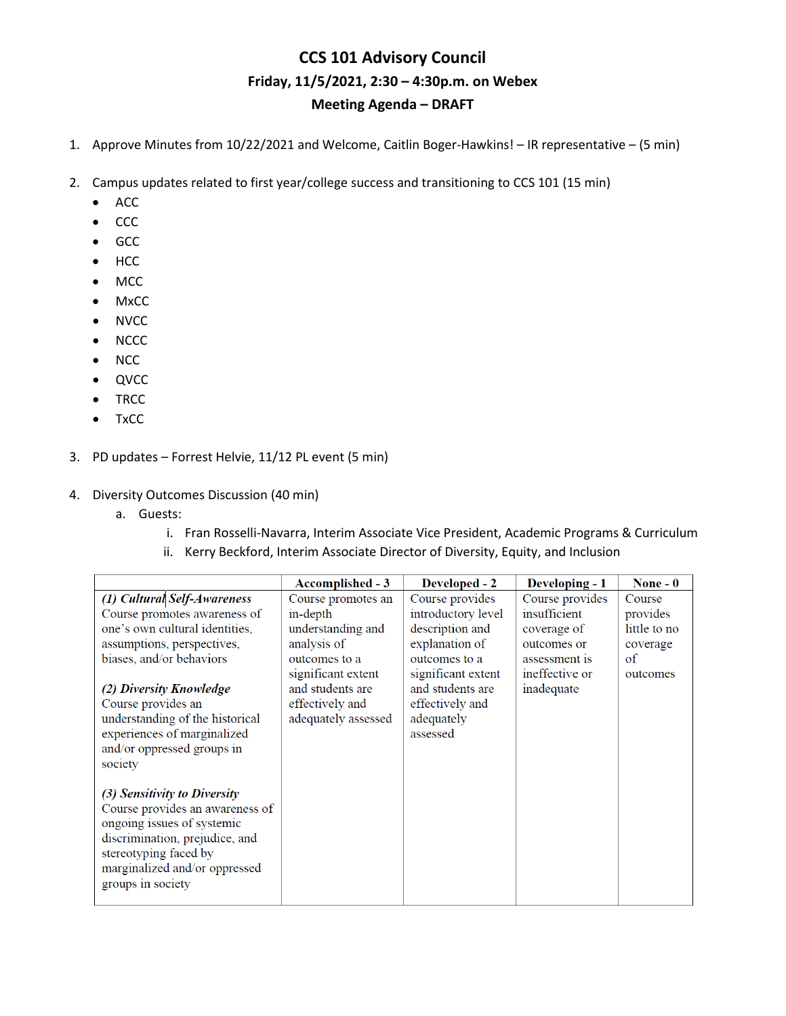## **CCS 101 Advisory Council Friday, 11/5/2021, 2:30 – 4:30p.m. on Webex Meeting Agenda – DRAFT**

- 1. Approve Minutes from 10/22/2021 and Welcome, Caitlin Boger-Hawkins! IR representative (5 min)
- 2. Campus updates related to first year/college success and transitioning to CCS 101 (15 min)
	- ACC
	- CCC
	- GCC
	- HCC
	- MCC
	- MxCC
	- NVCC
	- NCCC
	- NCC
	- QVCC
	- TRCC
	- TxCC
- 3. PD updates Forrest Helvie, 11/12 PL event (5 min)
- 4. Diversity Outcomes Discussion (40 min)
	- a. Guests:
		- i. Fran Rosselli-Navarra, Interim Associate Vice President, Academic Programs & Curriculum
		- ii. Kerry Beckford, Interim Associate Director of Diversity, Equity, and Inclusion

|                                 | Accomplished - 3    | Developed - 2      | Developing - 1  | None $-0$    |
|---------------------------------|---------------------|--------------------|-----------------|--------------|
| (1) Cultural Self-Awareness     | Course promotes an  | Course provides    | Course provides | Course       |
| Course promotes awareness of    | in-depth            | introductory level | insufficient    | provides     |
| one's own cultural identities,  | understanding and   | description and    | coverage of     | little to no |
| assumptions, perspectives,      | analysis of         | explanation of     | outcomes or     | coverage     |
| biases, and/or behaviors        | outcomes to a       | outcomes to a      | assessment is   | of           |
|                                 | significant extent  | significant extent | ineffective or  | outcomes     |
| (2) Diversity Knowledge         | and students are    | and students are   | inadequate      |              |
| Course provides an              | effectively and     | effectively and    |                 |              |
| understanding of the historical | adequately assessed | adequately         |                 |              |
| experiences of marginalized     |                     | assessed           |                 |              |
| and/or oppressed groups in      |                     |                    |                 |              |
| society                         |                     |                    |                 |              |
|                                 |                     |                    |                 |              |
| (3) Sensitivity to Diversity    |                     |                    |                 |              |
| Course provides an awareness of |                     |                    |                 |              |
| ongoing issues of systemic      |                     |                    |                 |              |
| discrimination, prejudice, and  |                     |                    |                 |              |
| stereotyping faced by           |                     |                    |                 |              |
| marginalized and/or oppressed   |                     |                    |                 |              |
| groups in society               |                     |                    |                 |              |
|                                 |                     |                    |                 |              |